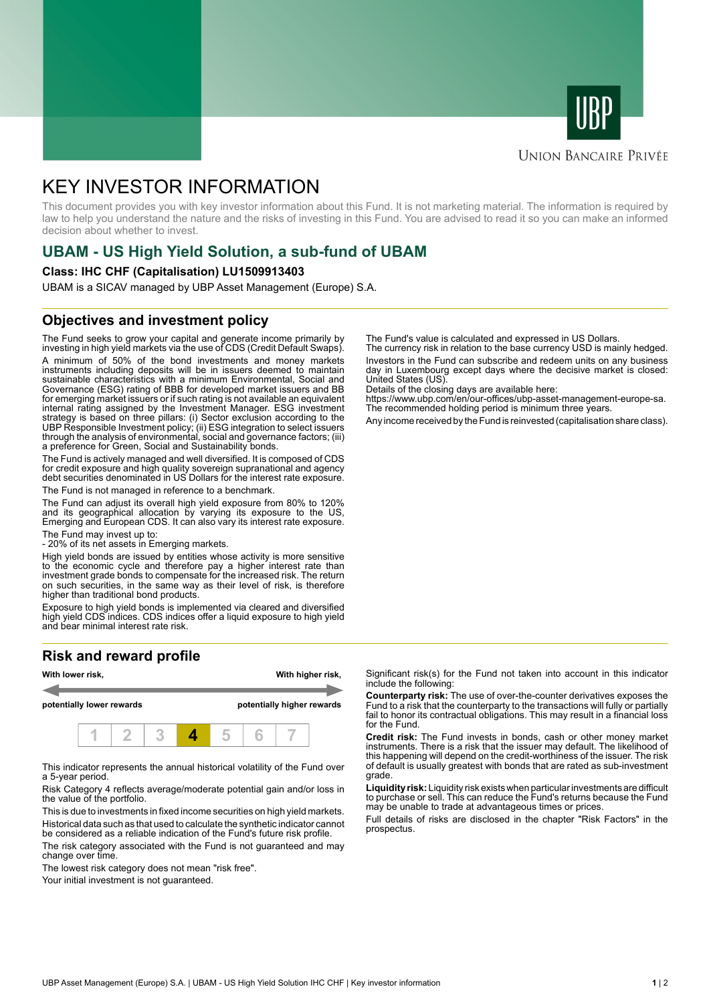



## **UNION BANCAIRE PRIVÉE**

# KEY INVESTOR INFORMATION

This document provides you with key investor information about this Fund. It is not marketing material. The information is required by law to help you understand the nature and the risks of investing in this Fund. You are advised to read it so you can make an informed decision about whether to invest.

# **UBAM - US High Yield Solution, a sub-fund of UBAM**

#### **Class: IHC CHF (Capitalisation) LU1509913403**

UBAM is a SICAV managed by UBP Asset Management (Europe) S.A.

## **Objectives and investment policy**

The Fund seeks to grow your capital and generate income primarily by investing in high yield markets via the use of CDS (Credit Default Swaps). A minimum of 50% of the bond investments and money markets instruments including deposits will be in issuers deemed to maintain sustainable characteristics with a minimum Environmental, Social and Governance (ESG) rating of BBB for developed market issuers and BB for emerging market issuers or if such rating is not available an equivalent internal rating assigned by the Investment Manager. ESG investment strategy is based on three pillars: (i) Sector exclusion according to the UBP Responsible Investment policy; (ii) ESG integration to select issuers through the analysis of environmental, social and governance factors; (iii) a preference for Green, Social and Sustainability bonds.

The Fund is actively managed and well diversified. It is composed of CDS for credit exposure and high quality sovereign supranational and agency debt securities denominated in US Dollars for the interest rate exposure. The Fund is not managed in reference to a benchmark.

The Fund can adjust its overall high yield exposure from 80% to 120% and its geographical allocation by varying its exposure to the US, Emerging and European CDS. It can also vary its interest rate exposure.

The Fund may invest up to:

- 20% of its net assets in Emerging markets.

High yield bonds are issued by entities whose activity is more sensitive to the economic cycle and therefore pay a higher interest rate than investment grade bonds to compensate for the increased risk. The return on such securities, in the same way as their level of risk, is therefore higher than traditional bond products.

Exposure to high yield bonds is implemented via cleared and diversified high yield CDS indices. CDS indices offer a liquid exposure to high yield and bear minimal interest rate risk.

# **Risk and reward profile**



This indicator represents the annual historical volatility of the Fund over a 5-year period.

Risk Category 4 reflects average/moderate potential gain and/or loss in the value of the portfolio.

This is due to investments in fixed income securities on high yield markets. Historical data such as that used to calculate the synthetic indicator cannot be considered as a reliable indication of the Fund's future risk profile. The risk category associated with the Fund is not guaranteed and may

change over time.

The lowest risk category does not mean "risk free".

Your initial investment is not guaranteed.

The Fund's value is calculated and expressed in US Dollars.

The currency risk in relation to the base currency USD is mainly hedged. Investors in the Fund can subscribe and redeem units on any business day in Luxembourg except days where the decisive market is closed: United States (US).

Details of the closing days are available here:

https://www.ubp.com/en/our-offices/ubp-asset-management-europe-sa. The recommended holding period is minimum three years.

Any income received by the Fund is reinvested (capitalisation share class).

Significant risk(s) for the Fund not taken into account in this indicator include the following:

**Counterparty risk:** The use of over-the-counter derivatives exposes the Fund to a risk that the counterparty to the transactions will fully or partially fail to honor its contractual obligations. This may result in a financial loss for the Fund.

**Credit risk:** The Fund invests in bonds, cash or other money market instruments. There is a risk that the issuer may default. The likelihood of this happening will depend on the credit-worthiness of the issuer. The risk of default is usually greatest with bonds that are rated as sub-investment grade.

**Liquidity risk:** Liquidity risk exists when particular investments are difficult to purchase or sell. This can reduce the Fund's returns because the Fund may be unable to trade at advantageous times or prices.

Full details of risks are disclosed in the chapter "Risk Factors" in the prospectus.